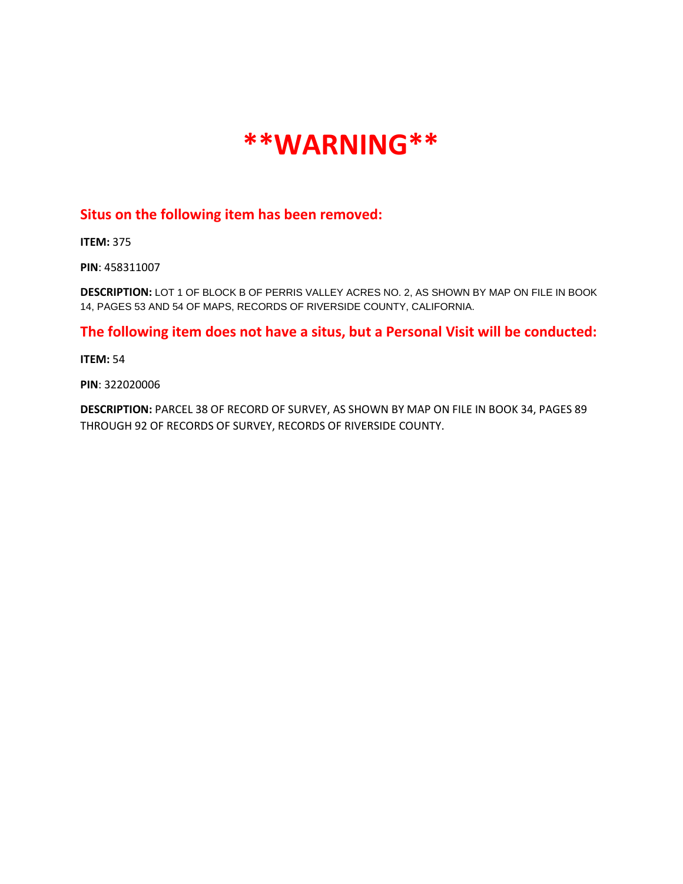

## **Situs on the following item has been removed:**

**ITEM:** 375

**PIN**: 458311007

**DESCRIPTION:** LOT 1 OF BLOCK B OF PERRIS VALLEY ACRES NO. 2, AS SHOWN BY MAP ON FILE IN BOOK 14, PAGES 53 AND 54 OF MAPS, RECORDS OF RIVERSIDE COUNTY, CALIFORNIA.

**The following item does not have a situs, but a Personal Visit will be conducted:**

**ITEM:** 54

**PIN**: 322020006

**DESCRIPTION:** PARCEL 38 OF RECORD OF SURVEY, AS SHOWN BY MAP ON FILE IN BOOK 34, PAGES 89 THROUGH 92 OF RECORDS OF SURVEY, RECORDS OF RIVERSIDE COUNTY.